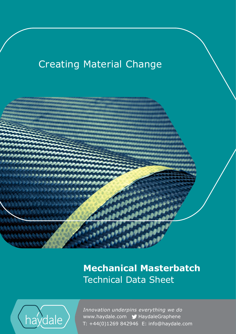# **Creating Material Change**



## **Mechanical Masterbatch** Technical Data Sheet



www.haydale.com y HaydaleGraphene *Innovation underpins everything we do*  T: +44(0)1269 842946 E: info@haydale.com